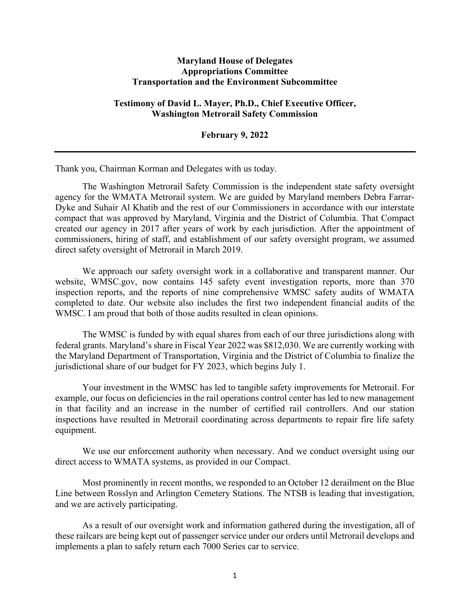## **Maryland House of Delegates Appropriations Committee Transportation and the Environment Subcommittee**

## **Testimony of David L. Mayer, Ph.D., Chief Executive Officer, Washington Metrorail Safety Commission**

**February 9, 2022**

Thank you, Chairman Korman and Delegates with us today.

The Washington Metrorail Safety Commission is the independent state safety oversight agency for the WMATA Metrorail system. We are guided by Maryland members Debra Farrar-Dyke and Suhair Al Khatib and the rest of our Commissioners in accordance with our interstate compact that was approved by Maryland, Virginia and the District of Columbia. That Compact created our agency in 2017 after years of work by each jurisdiction. After the appointment of commissioners, hiring of staff, and establishment of our safety oversight program, we assumed direct safety oversight of Metrorail in March 2019.

We approach our safety oversight work in a collaborative and transparent manner. Our website, WMSC.gov, now contains 145 safety event investigation reports, more than 370 inspection reports, and the reports of nine comprehensive WMSC safety audits of WMATA completed to date. Our website also includes the first two independent financial audits of the WMSC. I am proud that both of those audits resulted in clean opinions.

The WMSC is funded by with equal shares from each of our three jurisdictions along with federal grants. Maryland's share in Fiscal Year 2022 was \$812,030. We are currently working with the Maryland Department of Transportation, Virginia and the District of Columbia to finalize the jurisdictional share of our budget for FY 2023, which begins July 1.

Your investment in the WMSC has led to tangible safety improvements for Metrorail. For example, our focus on deficiencies in the rail operations control center has led to new management in that facility and an increase in the number of certified rail controllers. And our station inspections have resulted in Metrorail coordinating across departments to repair fire life safety equipment.

We use our enforcement authority when necessary. And we conduct oversight using our direct access to WMATA systems, as provided in our Compact.

Most prominently in recent months, we responded to an October 12 derailment on the Blue Line between Rosslyn and Arlington Cemetery Stations. The NTSB is leading that investigation, and we are actively participating.

As a result of our oversight work and information gathered during the investigation, all of these railcars are being kept out of passenger service under our orders until Metrorail develops and implements a plan to safely return each 7000 Series car to service.